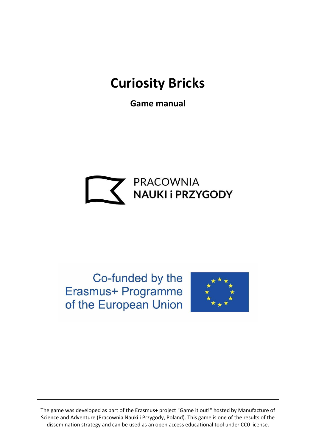# **Curiosity Bricks**

**Game manual**



Co-funded by the Erasmus+ Programme of the European Union

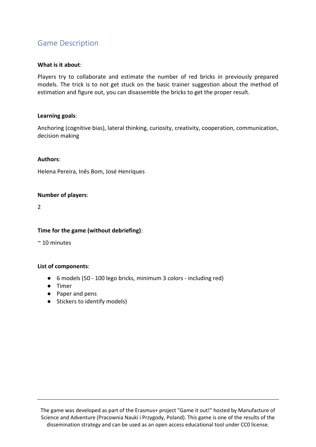# Game Description

# **What is it about**:

Players try to collaborate and estimate the number of red bricks in previously prepared models. The trick is to not get stuck on the basic trainer suggestion about the method of estimation and figure out, you can disassemble the bricks to get the proper result.

#### **Learning goals**:

Anchoring (cognitive bias), lateral thinking, curiosity, creativity, cooperation, communication, decision making

# **Authors**:

Helena Pereira, Inês Bom, José Henriques

# **Number of players**:

2

#### **Time for the game (without debriefing)**:

 $~\sim$  10 minutes

#### **List of components**:

- 6 models (50 100 lego bricks, minimum 3 colors including red)
- Timer
- Paper and pens
- Stickers to identify models)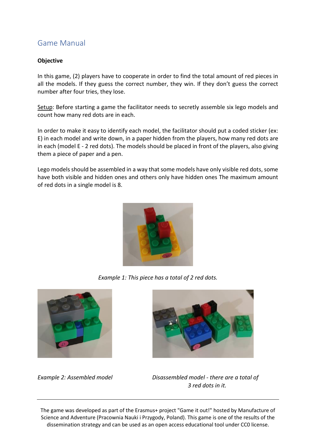# Game Manual

# **Objective**

In this game, (2) players have to cooperate in order to find the total amount of red pieces in all the models. If they guess the correct number, they win. If they don't guess the correct number after four tries, they lose.

Setup: Before starting a game the facilitator needs to secretly assemble six lego models and count how many red dots are in each.

In order to make it easy to identify each model, the facilitator should put a coded sticker (ex: E) in each model and write down, in a paper hidden from the players, how many red dots are in each (model E - 2 red dots). The models should be placed in front of the players, also giving them a piece of paper and a pen.

Lego models should be assembled in a way that some models have only visible red dots, some have both visible and hidden ones and others only have hidden ones The maximum amount of red dots in a single model is 8.



*Example 1: This piece has a total of 2 red dots.*





*Example 2: Assembled model Disassembled model - there are a total of 3 red dots in it.*